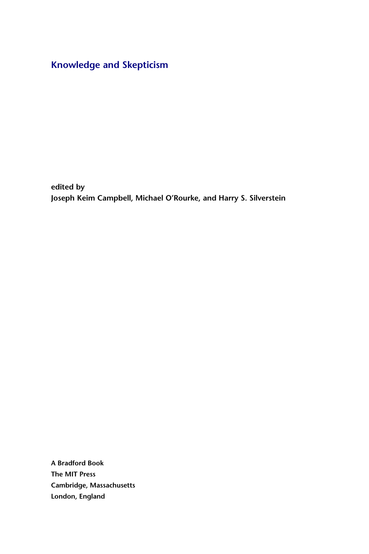## [Knowledge and Skepticism](http://mitpress.mit.edu/978-0-262-01408-3)

edited by Joseph Keim Campbell, Michael O'Rourke, and Harry S. Silverstein

A Bradford Book The MIT Press Cambridge, Massachusetts London, England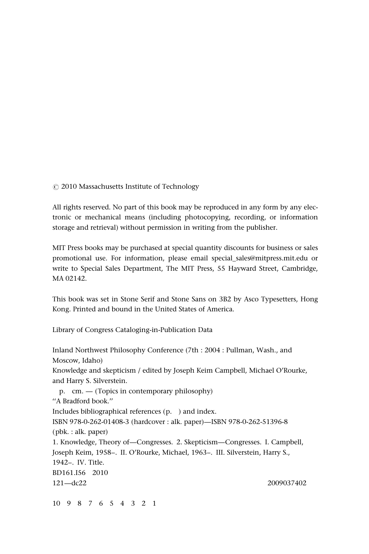*(* 2010 Massachusetts Institute of Technology

All rights reserved. No part of this book may be reproduced in any form by any electronic or mechanical means (including photocopying, recording, or information storage and retrieval) without permission in writing from the publisher.

MIT Press books may be purchased at special quantity discounts for business or sales promotional use. For information, please email special\_sales@mitpress.mit.edu or write to Special Sales Department, The MIT Press, 55 Hayward Street, Cambridge, MA 02142.

This book was set in Stone Serif and Stone Sans on 3B2 by Asco Typesetters, Hong Kong. Printed and bound in the United States of America.

Library of Congress Cataloging-in-Publication Data

Inland Northwest Philosophy Conference (7th : 2004 : Pullman, Wash., and Moscow, Idaho) Knowledge and skepticism / edited by Joseph Keim Campbell, Michael O'Rourke, and Harry S. Silverstein. p. cm. — (Topics in contemporary philosophy) ''A Bradford book.'' Includes bibliographical references (p. ) and index. ISBN 978-0-262-01408-3 (hardcover : alk. paper)—ISBN 978-0-262-51396-8 (pbk. : alk. paper) 1. Knowledge, Theory of—Congresses. 2. Skepticism—Congresses. I. Campbell, Joseph Keim, 1958–. II. O'Rourke, Michael, 1963–. III. Silverstein, Harry S., 1942–. IV. Title. BD161.I56 2010 121—dc22 2009037402

10 9 8 7 6 5 4 3 2 1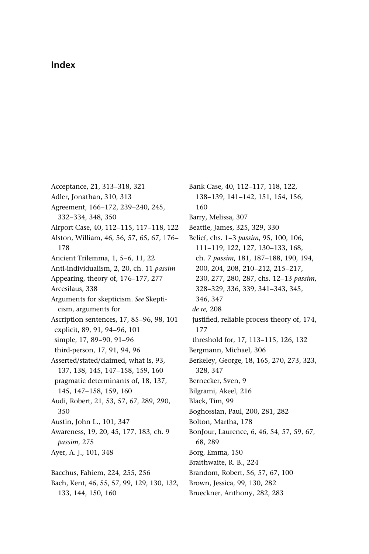## Index

Acceptance, 21, 313–318, 321 Adler, Jonathan, 310, 313 Agreement, 166–172, 239–240, 245, 332–334, 348, 350 Airport Case, 40, 112–115, 117–118, 122 Alston, William, 46, 56, 57, 65, 67, 176– 178 Ancient Trilemma, 1, 5–6, 11, 22 Anti-individualism, 2, 20, ch. 11 passim Appearing, theory of, 176–177, 277 Arcesilaus, 338 Arguments for skepticism. See Skepticism, arguments for Ascription sentences, 17, 85–96, 98, 101 explicit, 89, 91, 94–96, 101 simple, 17, 89–90, 91–96 third-person, 17, 91, 94, 96 Asserted/stated/claimed, what is, 93, 137, 138, 145, 147–158, 159, 160 pragmatic determinants of, 18, 137, 145, 147–158, 159, 160 Audi, Robert, 21, 53, 57, 67, 289, 290, 350 Austin, John L., 101, 347 Awareness, 19, 20, 45, 177, 183, ch. 9 passim, 275 Ayer, A. J., 101, 348 Bacchus, Fahiem, 224, 255, 256 Bach, Kent, 46, 55, 57, 99, 129, 130, 132, 133, 144, 150, 160

Bank Case, 40, 112–117, 118, 122, 138–139, 141–142, 151, 154, 156, 160 Barry, Melissa, 307 Beattie, James, 325, 329, 330 Belief, chs. 1–3 passim, 95, 100, 106, 111–119, 122, 127, 130–133, 168, ch. 7 passim, 181, 187–188, 190, 194, 200, 204, 208, 210–212, 215–217, 230, 277, 280, 287, chs. 12–13 passim, 328–329, 336, 339, 341–343, 345, 346, 347 de re, 208 justified, reliable process theory of, 174, 177 threshold for, 17, 113–115, 126, 132 Bergmann, Michael, 306 Berkeley, George, 18, 165, 270, 273, 323, 328, 347 Bernecker, Sven, 9 Bilgrami, Akeel, 216 Black, Tim, 99 Boghossian, Paul, 200, 281, 282 Bolton, Martha, 178 BonJour, Laurence, 6, 46, 54, 57, 59, 67, 68, 289 Borg, Emma, 150 Braithwaite, R. B., 224 Brandom, Robert, 56, 57, 67, 100 Brown, Jessica, 99, 130, 282

Brueckner, Anthony, 282, 283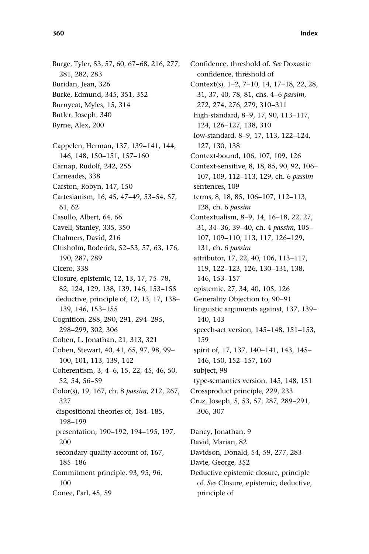Burge, Tyler, 53, 57, 60, 67–68, 216, 277, 281, 282, 283 Buridan, Jean, 326 Burke, Edmund, 345, 351, 352 Burnyeat, Myles, 15, 314 Butler, Joseph, 340 Byrne, Alex, 200 Cappelen, Herman, 137, 139–141, 144, 146, 148, 150–151, 157–160 Carnap, Rudolf, 242, 255 Carneades, 338 Carston, Robyn, 147, 150 Cartesianism, 16, 45, 47–49, 53–54, 57, 61, 62 Casullo, Albert, 64, 66 Cavell, Stanley, 335, 350 Chalmers, David, 216 Chisholm, Roderick, 52–53, 57, 63, 176, 190, 287, 289 Cicero, 338 Closure, epistemic, 12, 13, 17, 75–78, 82, 124, 129, 138, 139, 146, 153–155 deductive, principle of, 12, 13, 17, 138– 139, 146, 153–155 Cognition, 288, 290, 291, 294–295, 298–299, 302, 306 Cohen, L. Jonathan, 21, 313, 321 Cohen, Stewart, 40, 41, 65, 97, 98, 99– 100, 101, 113, 139, 142 Coherentism, 3, 4–6, 15, 22, 45, 46, 50, 52, 54, 56–59 Color(s), 19, 167, ch. 8 passim, 212, 267, 327 dispositional theories of, 184–185,

198–199 presentation, 190–192, 194–195, 197, 200 secondary quality account of, 167, 185–186 Commitment principle, 93, 95, 96,

100

Conee, Earl, 45, 59

Confidence, threshold of. See Doxastic confidence, threshold of Context(s), 1–2, 7–10, 14, 17–18, 22, 28, 31, 37, 40, 78, 81, chs. 4–6 passim, 272, 274, 276, 279, 310–311 high-standard, 8–9, 17, 90, 113–117, 124, 126–127, 138, 310 low-standard, 8–9, 17, 113, 122–124, 127, 130, 138 Context-bound, 106, 107, 109, 126 Context-sensitive, 8, 18, 85, 90, 92, 106– 107, 109, 112–113, 129, ch. 6 passim sentences, 109 terms, 8, 18, 85, 106–107, 112–113, 128, ch. 6 passim Contextualism, 8–9, 14, 16–18, 22, 27, 31, 34–36, 39–40, ch. 4 passim, 105– 107, 109–110, 113, 117, 126–129, 131, ch. 6 passim attributor, 17, 22, 40, 106, 113–117, 119, 122–123, 126, 130–131, 138, 146, 153–157 epistemic, 27, 34, 40, 105, 126 Generality Objection to, 90–91 linguistic arguments against, 137, 139– 140, 143 speech-act version, 145–148, 151–153, 159 spirit of, 17, 137, 140–141, 143, 145– 146, 150, 152–157, 160 subject, 98 type-semantics version, 145, 148, 151 Crossproduct principle, 229, 233 Cruz, Joseph, 5, 53, 57, 287, 289–291, 306, 307 Dancy, Jonathan, 9 David, Marian, 82 Davidson, Donald, 54, 59, 277, 283 Davie, George, 352 Deductive epistemic closure, principle of. See Closure, epistemic, deductive, principle of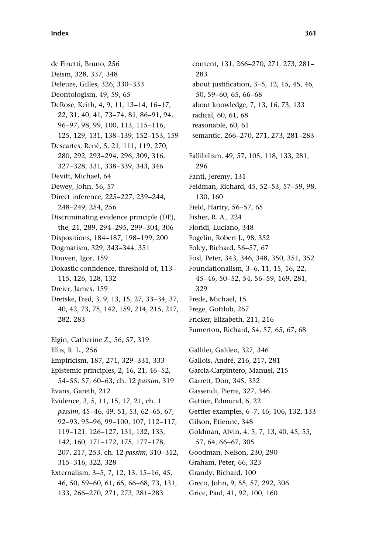de Finetti, Bruno, 256 Deism, 328, 337, 348 Deleuze, Gilles, 326, 330–333 Deontologism, 49, 59, 65 DeRose, Keith, 4, 9, 11, 13–14, 16–17, 22, 31, 40, 41, 73–74, 81, 86–91, 94, 96–97, 98, 99, 100, 113, 115–116, 125, 129, 131, 138–139, 152–153, 159 Descartes, René, 5, 21, 111, 119, 270, 280, 292, 293–294, 296, 309, 316, 327–328, 331, 338–339, 343, 346 Devitt, Michael, 64 Dewey, John, 56, 57 Direct inference, 225–227, 239–244, 248–249, 254, 256 Discriminating evidence principle (DE), the, 21, 289, 294–295, 299–304, 306 Dispositions, 184–187, 198–199, 200 Dogmatism, 329, 343–344, 351 Douven, Igor, 159 Doxastic confidence, threshold of, 113– 115, 126, 128, 132 Dreier, James, 159 Dretske, Fred, 3, 9, 13, 15, 27, 33–34, 37, 40, 42, 73, 75, 142, 159, 214, 215, 217, 282, 283 Elgin, Catherine Z., 56, 57, 319 Ellis, R. L., 256 Empiricism, 187, 271, 329–331, 333 Epistemic principles, 2, 16, 21, 46–52, 54–55, 57, 60–63, ch. 12 passim, 319 Evans, Gareth, 212 Evidence, 3, 5, 11, 15, 17, 21, ch. 1 passim, 45–46, 49, 51, 53, 62–65, 67, 92–93, 95–96, 99–100, 107, 112–117, 119–121, 126–127, 131, 132, 133, 142, 160, 171–172, 175, 177–178, 207, 217, 253, ch. 12 passim, 310–312, 315–316, 322, 328 Externalism, 3–5, 7, 12, 13, 15–16, 45, 46, 50, 59–60, 61, 65, 66–68, 73, 131, 133, 266–270, 271, 273, 281–283

content, 131, 266–270, 271, 273, 281– 283 about justification, 3–5, 12, 15, 45, 46, 50, 59–60, 65, 66–68 about knowledge, 7, 13, 16, 73, 133 radical, 60, 61, 68 reasonable, 60, 61 semantic, 266–270, 271, 273, 281–283 Fallibilism, 49, 57, 105, 118, 133, 281, 296 Fantl, Jeremy, 131 Feldman, Richard, 45, 52–53, 57–59, 98, 130, 160 Field, Hartry, 56–57, 65 Fisher, R. A., 224 Floridi, Luciano, 348 Fogelin, Robert J., 98, 352 Foley, Richard, 56–57, 67 Fosl, Peter, 343, 346, 348, 350, 351, 352 Foundationalism, 3–6, 11, 15, 16, 22, 45–46, 50–52, 54, 56–59, 169, 281, 329 Frede, Michael, 15 Frege, Gottlob, 267 Fricker, Elizabeth, 211, 216 Fumerton, Richard, 54, 57, 65, 67, 68 Gallilei, Galileo, 327, 346 Gallois, André, 216, 217, 281 Garcia-Carpintero, Manuel, 215 Garrett, Don, 345, 352 Gassendi, Pierre, 327, 346 Gettier, Edmund, 6, 22 Gettier examples, 6–7, 46, 106, 132, 133 Gilson, Étienne, 348 Goldman, Alvin, 4, 5, 7, 13, 40, 45, 55, 57, 64, 66–67, 305 Goodman, Nelson, 230, 290 Graham, Peter, 66, 323 Grandy, Richard, 100 Greco, John, 9, 55, 57, 292, 306 Grice, Paul, 41, 92, 100, 160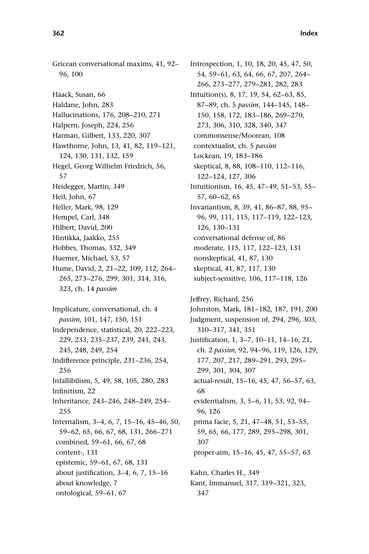Gricean conversational maxims, 41, 92– 96, 100 Haack, Susan, 66 Haldane, John, 283 Hallucinations, 176, 208–210, 271 Halpern, Joseph, 224, 256 Harman, Gilbert, 133, 220, 307 Hawthorne, John, 13, 41, 82, 119–121, 124, 130, 131, 132, 159 Hegel, Georg Wilhelm Friedrich, 56, 57 Heidegger, Martin, 349 Heil, John, 67 Heller, Mark, 98, 129 Hempel, Carl, 348 Hilbert, David, 200 Hintikka, Jaakko, 255 Hobbes, Thomas, 332, 349 Huemer, Michael, 53, 57 Hume, David, 2, 21–22, 109, 112, 264– 265, 273–276, 299, 301, 314, 316, 323, ch. 14 passim Implicature, conversational, ch. 4 passim, 101, 147, 150, 151 Independence, statistical, 20, 222–223, 229, 233, 235–237, 239, 241, 243, 245, 248, 249, 254 Indifference principle, 231–236, 254, 256 Infallibilism, 5, 49, 58, 105, 280, 283 Infinitism, 22 Inheritance, 243–246, 248–249, 254– 255 Internalism, 3–4, 6, 7, 15–16, 45–46, 50, 59–62, 65, 66, 67, 68, 131, 266–271 combined, 59–61, 66, 67, 68 content-, 131

epistemic, 59–61, 67, 68, 131

about justification, 3–4, 6, 7, 15–16 about knowledge, 7

ontological, 59–61, 67

Introspection, 1, 10, 18, 20, 45, 47, 50, 54, 59–61, 63, 64, 66, 67, 207, 264– 266, 273–277, 279–281, 282, 283 Intuition(s), 8, 17, 19, 54, 62–63, 85, 87–89, ch. 5 passim, 144–145, 148– 150, 158, 172, 183–186, 269–270, 273, 306, 310, 328, 340, 347 commonsense/Moorean, 108 contextualist, ch. 5 passim Lockean, 19, 183–186 skeptical, 8, 88, 108–110, 112–116, 122–124, 127, 306 Intuitionism, 16, 45, 47–49, 51–53, 55– 57, 60–62, 65 Invariantism, 8, 39, 41, 86–87, 88, 95– 96, 99, 111, 115, 117–119, 122–123, 126, 130–131 conversational defense of, 86 moderate, 115, 117, 122–123, 131 nonskeptical, 41, 87, 130 skeptical, 41, 87, 117, 130 subject-sensitive, 106, 117–118, 126

Jeffrey, Richard, 256 Johnston, Mark, 181–182, 187, 191, 200 Judgment, suspension of, 294, 296, 303, 310–317, 341, 351 Justification, 1, 3–7, 10–11, 14–16, 21, ch. 2 passim, 92, 94–96, 119, 126, 129, 177, 207, 217, 289–291, 293, 295– 299, 301, 304, 307 actual-result, 15–16, 45, 47, 56–57, 63, 68 evidentialism, 3, 5–6, 11, 53, 92, 94– 96, 126 prima facie, 5, 21, 47–48, 51, 53–55, 59, 65, 66, 177, 289, 295–298, 301, 307 proper-aim, 15–16, 45, 47, 55–57, 63 Kahn, Charles H., 349 Kant, Immanuel, 317, 319–321, 323, 347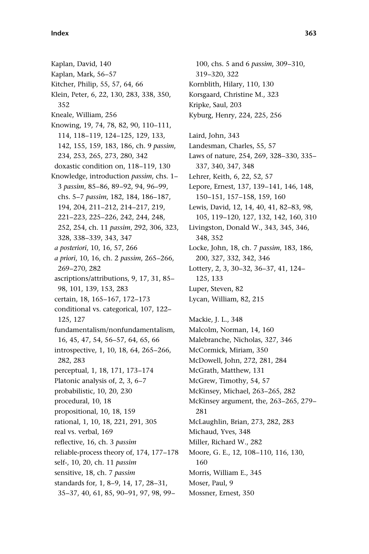Kaplan, David, 140 Kaplan, Mark, 56–57 Kitcher, Philip, 55, 57, 64, 66 Klein, Peter, 6, 22, 130, 283, 338, 350, 352 Kneale, William, 256 Knowing, 19, 74, 78, 82, 90, 110–111, 114, 118–119, 124–125, 129, 133, 142, 155, 159, 183, 186, ch. 9 passim, 234, 253, 265, 273, 280, 342 doxastic condition on, 118–119, 130 Knowledge, introduction passim, chs. 1– 3 passim, 85–86, 89–92, 94, 96–99, chs. 5–7 passim, 182, 184, 186–187, 194, 204, 211–212, 214–217, 219, 221–223, 225–226, 242, 244, 248, 252, 254, ch. 11 passim, 292, 306, 323, 328, 338–339, 343, 347 a posteriori, 10, 16, 57, 266 a priori, 10, 16, ch. 2 passim, 265–266, 269–270, 282 ascriptions/attributions, 9, 17, 31, 85– 98, 101, 139, 153, 283 certain, 18, 165–167, 172–173 conditional vs. categorical, 107, 122– 125, 127 fundamentalism/nonfundamentalism, 16, 45, 47, 54, 56–57, 64, 65, 66 introspective, 1, 10, 18, 64, 265–266, 282, 283 perceptual, 1, 18, 171, 173–174 Platonic analysis of, 2, 3, 6–7 probabilistic, 10, 20, 230 procedural, 10, 18 propositional, 10, 18, 159 rational, 1, 10, 18, 221, 291, 305 real vs. verbal, 169 reflective, 16, ch. 3 passim reliable-process theory of, 174, 177–178 self-, 10, 20, ch. 11 passim sensitive, 18, ch. 7 passim standards for, 1, 8–9, 14, 17, 28–31, 35–37, 40, 61, 85, 90–91, 97, 98, 99–

100, chs. 5 and 6 passim, 309–310, 319–320, 322 Kornblith, Hilary, 110, 130 Korsgaard, Christine M., 323 Kripke, Saul, 203 Kyburg, Henry, 224, 225, 256 Laird, John, 343 Landesman, Charles, 55, 57 Laws of nature, 254, 269, 328–330, 335– 337, 340, 347, 348 Lehrer, Keith, 6, 22, 52, 57 Lepore, Ernest, 137, 139–141, 146, 148, 150–151, 157–158, 159, 160 Lewis, David, 12, 14, 40, 41, 82–83, 98, 105, 119–120, 127, 132, 142, 160, 310 Livingston, Donald W., 343, 345, 346, 348, 352 Locke, John, 18, ch. 7 passim, 183, 186, 200, 327, 332, 342, 346 Lottery, 2, 3, 30–32, 36–37, 41, 124– 125, 133 Luper, Steven, 82 Lycan, William, 82, 215 Mackie, J. L., 348 Malcolm, Norman, 14, 160 Malebranche, Nicholas, 327, 346 McCormick, Miriam, 350 McDowell, John, 272, 281, 284 McGrath, Matthew, 131 McGrew, Timothy, 54, 57 McKinsey, Michael, 263–265, 282 McKinsey argument, the, 263–265, 279– 281 McLaughlin, Brian, 273, 282, 283 Michaud, Yves, 348 Miller, Richard W., 282 Moore, G. E., 12, 108–110, 116, 130, 160 Morris, William E., 345 Moser, Paul, 9 Mossner, Ernest, 350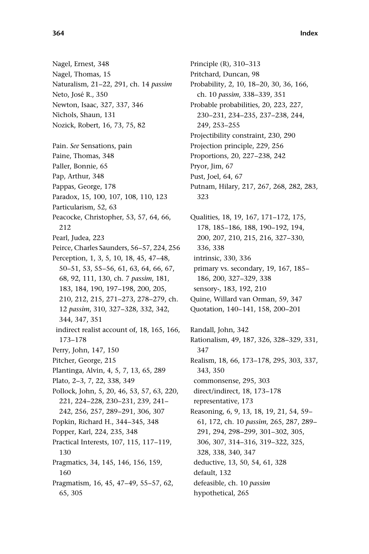Nagel, Ernest, 348 Nagel, Thomas, 15 Naturalism, 21–22, 291, ch. 14 passim Neto, José R., 350 Newton, Isaac, 327, 337, 346 Nichols, Shaun, 131 Nozick, Robert, 16, 73, 75, 82 Pain. See Sensations, pain Paine, Thomas, 348 Paller, Bonnie, 65 Pap, Arthur, 348 Pappas, George, 178 Paradox, 15, 100, 107, 108, 110, 123 Particularism, 52, 63 Peacocke, Christopher, 53, 57, 64, 66, 212 Pearl, Judea, 223 Peirce, Charles Saunders, 56–57, 224, 256 Perception, 1, 3, 5, 10, 18, 45, 47–48, 50–51, 53, 55–56, 61, 63, 64, 66, 67, 68, 92, 111, 130, ch. 7 passim, 181, 183, 184, 190, 197–198, 200, 205, 210, 212, 215, 271–273, 278–279, ch. 12 passim, 310, 327–328, 332, 342, 344, 347, 351 indirect realist account of, 18, 165, 166, 173–178 Perry, John, 147, 150 Pitcher, George, 215 Plantinga, Alvin, 4, 5, 7, 13, 65, 289 Plato, 2–3, 7, 22, 338, 349 Pollock, John, 5, 20, 46, 53, 57, 63, 220, 221, 224–228, 230–231, 239, 241– 242, 256, 257, 289–291, 306, 307 Popkin, Richard H., 344–345, 348 Popper, Karl, 224, 235, 348 Practical Interests, 107, 115, 117–119, 130 Pragmatics, 34, 145, 146, 156, 159, 160 Pragmatism, 16, 45, 47–49, 55–57, 62, 65, 305

Principle (R), 310–313 Pritchard, Duncan, 98 Probability, 2, 10, 18–20, 30, 36, 166, ch. 10 passim, 338–339, 351 Probable probabilities, 20, 223, 227, 230–231, 234–235, 237–238, 244, 249, 253–255 Projectibility constraint, 230, 290 Projection principle, 229, 256 Proportions, 20, 227–238, 242 Pryor, Jim, 67 Pust, Joel, 64, 67 Putnam, Hilary, 217, 267, 268, 282, 283, 323 Qualities, 18, 19, 167, 171–172, 175, 178, 185–186, 188, 190–192, 194, 200, 207, 210, 215, 216, 327–330, 336, 338 intrinsic, 330, 336 primary vs. secondary, 19, 167, 185– 186, 200, 327–329, 338 sensory-, 183, 192, 210 Quine, Willard van Orman, 59, 347 Quotation, 140–141, 158, 200–201 Randall, John, 342 Rationalism, 49, 187, 326, 328–329, 331, 347 Realism, 18, 66, 173–178, 295, 303, 337, 343, 350 commonsense, 295, 303 direct/indirect, 18, 173–178 representative, 173 Reasoning, 6, 9, 13, 18, 19, 21, 54, 59– 61, 172, ch. 10 passim, 265, 287, 289– 291, 294, 298–299, 301–302, 305, 306, 307, 314–316, 319–322, 325, 328, 338, 340, 347 deductive, 13, 50, 54, 61, 328 default, 132 defeasible, ch. 10 passim hypothetical, 265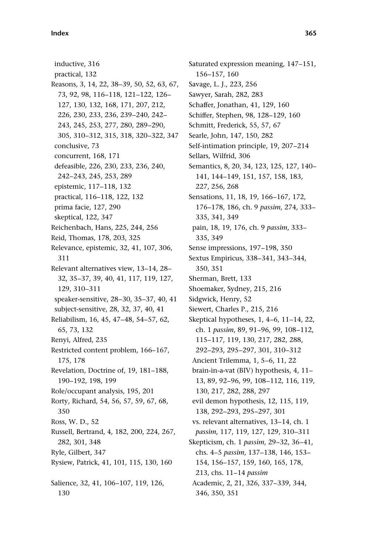inductive, 316 practical, 132 Reasons, 3, 14, 22, 38–39, 50, 52, 63, 67, 73, 92, 98, 116–118, 121–122, 126– 127, 130, 132, 168, 171, 207, 212, 226, 230, 233, 236, 239–240, 242– 243, 245, 253, 277, 280, 289–290, 305, 310–312, 315, 318, 320–322, 347 conclusive, 73 concurrent, 168, 171 defeasible, 226, 230, 233, 236, 240, 242–243, 245, 253, 289 epistemic, 117–118, 132 practical, 116–118, 122, 132 prima facie, 127, 290 skeptical, 122, 347 Reichenbach, Hans, 225, 244, 256 Reid, Thomas, 178, 203, 325 Relevance, epistemic, 32, 41, 107, 306, 311 Relevant alternatives view, 13–14, 28– 32, 35–37, 39, 40, 41, 117, 119, 127, 129, 310–311 speaker-sensitive, 28–30, 35–37, 40, 41 subject-sensitive, 28, 32, 37, 40, 41 Reliabilism, 16, 45, 47–48, 54–57, 62, 65, 73, 132 Renyi, Alfred, 235 Restricted content problem, 166–167, 175, 178 Revelation, Doctrine of, 19, 181–188, 190–192, 198, 199 Role/occupant analysis, 195, 201 Rorty, Richard, 54, 56, 57, 59, 67, 68, 350 Ross, W. D., 52 Russell, Bertrand, 4, 182, 200, 224, 267, 282, 301, 348 Ryle, Gilbert, 347 Rysiew, Patrick, 41, 101, 115, 130, 160 Salience, 32, 41, 106–107, 119, 126, 130

Saturated expression meaning, 147–151, 156–157, 160 Savage, L. J., 223, 256 Sawyer, Sarah, 282, 283 Schaffer, Jonathan, 41, 129, 160 Schiffer, Stephen, 98, 128–129, 160 Schmitt, Frederick, 55, 57, 67 Searle, John, 147, 150, 282 Self-intimation principle, 19, 207–214 Sellars, Wilfrid, 306 Semantics, 8, 20, 34, 123, 125, 127, 140– 141, 144–149, 151, 157, 158, 183, 227, 256, 268 Sensations, 11, 18, 19, 166–167, 172, 176–178, 186, ch. 9 passim, 274, 333– 335, 341, 349 pain, 18, 19, 176, ch. 9 passim, 333– 335, 349 Sense impressions, 197–198, 350 Sextus Empiricus, 338–341, 343–344, 350, 351 Sherman, Brett, 133 Shoemaker, Sydney, 215, 216 Sidgwick, Henry, 52 Siewert, Charles P., 215, 216 Skeptical hypotheses, 1, 4–6, 11–14, 22, ch. 1 passim, 89, 91–96, 99, 108–112, 115–117, 119, 130, 217, 282, 288, 292–293, 295–297, 301, 310–312 Ancient Trilemma, 1, 5–6, 11, 22 brain-in-a-vat (BIV) hypothesis, 4, 11– 13, 89, 92–96, 99, 108–112, 116, 119, 130, 217, 282, 288, 297 evil demon hypothesis, 12, 115, 119, 138, 292–293, 295–297, 301 vs. relevant alternatives, 13–14, ch. 1 passim, 117, 119, 127, 129, 310–311 Skepticism, ch. 1 passim, 29–32, 36–41, chs. 4–5 passim, 137–138, 146, 153– 154, 156–157, 159, 160, 165, 178, 213, chs. 11–14 passim Academic, 2, 21, 326, 337–339, 344, 346, 350, 351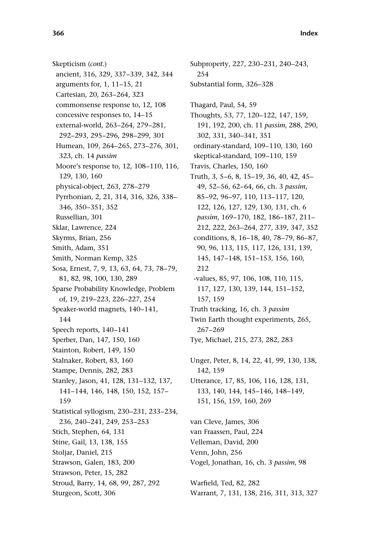Skepticism (cont.) ancient, 316, 329, 337–339, 342, 344 arguments for, 1, 11–15, 21 Cartesian, 20, 263–264, 323 commonsense response to, 12, 108 concessive responses to, 14–15 external-world, 263–264, 279–281, 292–293, 295–296, 298–299, 301 Humean, 109, 264–265, 273–276, 301, 323, ch. 14 passim Moore's response to, 12, 108–110, 116, 129, 130, 160 physical-object, 263, 278–279 Pyrrhonian, 2, 21, 314, 316, 326, 338– 346, 350–351, 352 Russellian, 301 Sklar, Lawrence, 224 Skyrms, Brian, 256 Smith, Adam, 351 Smith, Norman Kemp, 325 Sosa, Ernest, 7, 9, 13, 63, 64, 73, 78–79, 81, 82, 98, 100, 130, 289 Sparse Probability Knowledge, Problem of, 19, 219–223, 226–227, 254 Speaker-world magnets, 140–141, 144 Speech reports, 140–141 Sperber, Dan, 147, 150, 160 Stainton, Robert, 149, 150 Stalnaker, Robert, 83, 160 Stampe, Dennis, 282, 283 Stanley, Jason, 41, 128, 131–132, 137, 141–144, 146, 148, 150, 152, 157– 159 Statistical syllogism, 230–231, 233–234, 236, 240–241, 249, 253–253 Stich, Stephen, 64, 131 Stine, Gail, 13, 138, 155 Stoljar, Daniel, 215 Strawson, Galen, 183, 200 Strawson, Peter, 15, 282 Stroud, Barry, 14, 68, 99, 287, 292 Sturgeon, Scott, 306

Subproperty, 227, 230–231, 240–243, 254 Substantial form, 326–328 Thagard, Paul, 54, 59 Thoughts, 53, 77, 120–122, 147, 159, 191, 192, 200, ch. 11 passim, 288, 290, 302, 331, 340–341, 351 ordinary-standard, 109–110, 130, 160 skeptical-standard, 109–110, 159 Travis, Charles, 150, 160 Truth, 3, 5–6, 8, 15–19, 36, 40, 42, 45– 49, 52–56, 62–64, 66, ch. 3 passim, 85–92, 96–97, 110, 113–117, 120, 122, 126, 127, 129, 130, 131, ch. 6 passim, 169–170, 182, 186–187, 211– 212, 222, 263–264, 277, 339, 347, 352 conditions, 8, 16–18, 40, 78–79, 86–87, 90, 96, 113, 115, 117, 126, 131, 139, 145, 147–148, 151–153, 156, 160, 212 -values, 85, 97, 106, 108, 110, 115, 117, 127, 130, 139, 144, 151–152, 157, 159 Truth tracking, 16, ch. 3 passim Twin Earth thought experiments, 265, 267–269 Tye, Michael, 215, 273, 282, 283 Unger, Peter, 8, 14, 22, 41, 99, 130, 138, 142, 159 Utterance, 17, 85, 106, 116, 128, 131, 133, 140, 144, 145–146, 148–149, 151, 156, 159, 160, 269 van Cleve, James, 306 van Fraassen, Paul, 224 Velleman, David, 200 Venn, John, 256 Vogel, Jonathan, 16, ch. 3 passim, 98 Warfield, Ted, 82, 282

Warrant, 7, 131, 138, 216, 311, 313, 327